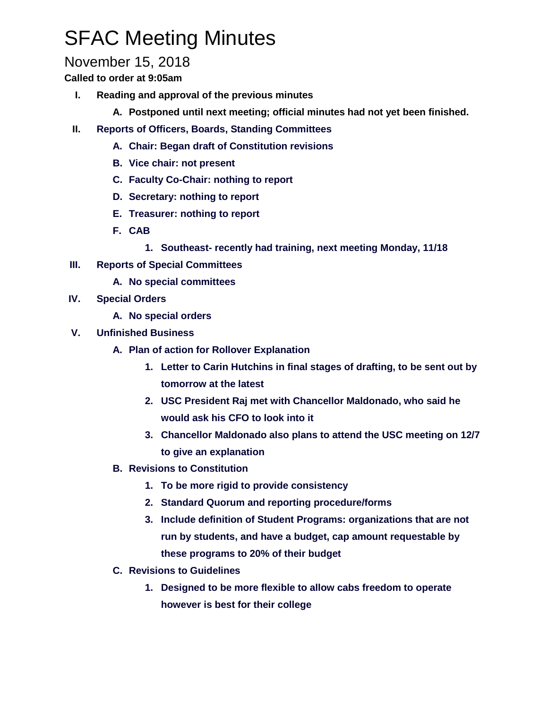## SFAC Meeting Minutes

## November 15, 2018

**Called to order at 9:05am**

- **I. Reading and approval of the previous minutes**
	- **A. Postponed until next meeting; official minutes had not yet been finished.**
- **II. Reports of Officers, Boards, Standing Committees**
	- **A. Chair: Began draft of Constitution revisions**
	- **B. Vice chair: not present**
	- **C. Faculty Co-Chair: nothing to report**
	- **D. Secretary: nothing to report**
	- **E. Treasurer: nothing to report**
	- **F. CAB**
		- **1. Southeast- recently had training, next meeting Monday, 11/18**
- **III. Reports of Special Committees**
	- **A. No special committees**
- **IV. Special Orders**
	- **A. No special orders**
- **V. Unfinished Business**
	- **A. Plan of action for Rollover Explanation** 
		- **1. Letter to Carin Hutchins in final stages of drafting, to be sent out by tomorrow at the latest**
		- **2. USC President Raj met with Chancellor Maldonado, who said he would ask his CFO to look into it**
		- **3. Chancellor Maldonado also plans to attend the USC meeting on 12/7 to give an explanation**
	- **B. Revisions to Constitution**
		- **1. To be more rigid to provide consistency**
		- **2. Standard Quorum and reporting procedure/forms**
		- **3. Include definition of Student Programs: organizations that are not run by students, and have a budget, cap amount requestable by these programs to 20% of their budget**
	- **C. Revisions to Guidelines**
		- **1. Designed to be more flexible to allow cabs freedom to operate however is best for their college**